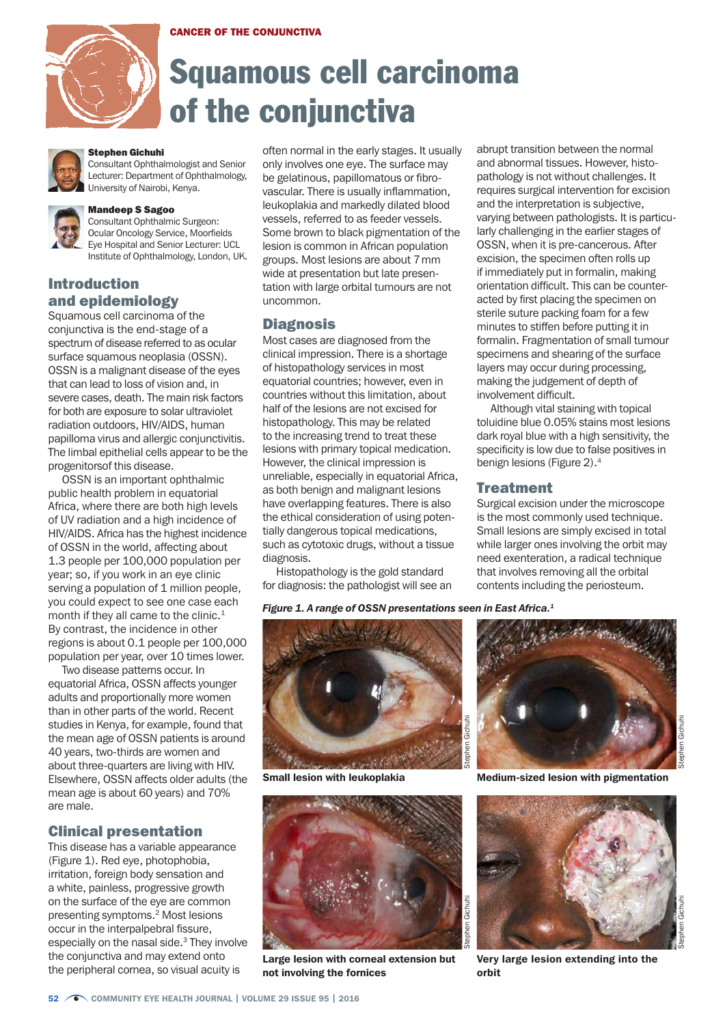



# Squamous cell carcinoma of the conjunctiva



#### Stephen Gichuhi

Consultant Ophthalmologist and Senior Lecturer: Department of Ophthalmology, University of Nairobi, Kenya.



#### Mandeep S Sagoo

Consultant Ophthalmic Surgeon: Ocular Oncology Service, Moorfields Eye Hospital and Senior Lecturer: UCL Institute of Ophthalmology, London, UK.

## Introduction and epidemiology

Squamous cell carcinoma of the conjunctiva is the end-stage of a spectrum of disease referred to as ocular surface squamous neoplasia (OSSN). OSSN is a malignant disease of the eyes that can lead to loss of vision and, in severe cases, death. The main risk factors for both are exposure to solar ultraviolet radiation outdoors, HIV/AIDS, human papilloma virus and allergic conjunctivitis. The limbal epithelial cells appear to be the progenitorsof this disease.

OSSN is an important ophthalmic public health problem in equatorial Africa, where there are both high levels of UV radiation and a high incidence of HIV/AIDS. Africa has the highest incidence of OSSN in the world, affecting about 1.3 people per 100,000 population per year; so, if you work in an eye clinic serving a population of 1 million people, you could expect to see one case each month if they all came to the clinic.<sup>1</sup> By contrast, the incidence in other regions is about 0.1 people per 100,000 population per year, over 10 times lower.

Two disease patterns occur. In equatorial Africa, OSSN affects younger adults and proportionally more women than in other parts of the world. Recent studies in Kenya, for example, found that the mean age of OSSN patients is around 40 years, two-thirds are women and about three-quarters are living with HIV. Elsewhere, OSSN affects older adults (the mean age is about 60 years) and 70% are male.

#### Clinical presentation

This disease has a variable appearance (Figure 1). Red eye, photophobia, irritation, foreign body sensation and a white, painless, progressive growth on the surface of the eye are common presenting symptoms.2 Most lesions occur in the interpalpebral fissure, especially on the nasal side.3 They involve the conjunctiva and may extend onto the peripheral cornea, so visual acuity is

often normal in the early stages. It usually only involves one eye. The surface may be gelatinous, papillomatous or fibrovascular. There is usually inflammation, leukoplakia and markedly dilated blood vessels, referred to as feeder vessels. Some brown to black pigmentation of the lesion is common in African population groups. Most lesions are about 7mm wide at presentation but late presentation with large orbital tumours are not uncommon.

#### **Diagnosis**

Most cases are diagnosed from the clinical impression. There is a shortage of histopathology services in most equatorial countries; however, even in countries without this limitation, about half of the lesions are not excised for histopathology. This may be related to the increasing trend to treat these lesions with primary topical medication. However, the clinical impression is unreliable, especially in equatorial Africa, as both benign and malignant lesions have overlapping features. There is also the ethical consideration of using potentially dangerous topical medications, such as cytotoxic drugs, without a tissue diagnosis.

Histopathology is the gold standard for diagnosis: the pathologist will see an

*Figure 1. A range of OSSN presentations seen in East Africa.1*





Large lesion with corneal extension but not involving the fornices

abrupt transition between the normal and abnormal tissues. However, histopathology is not without challenges. It requires surgical intervention for excision and the interpretation is subjective, varying between pathologists. It is particularly challenging in the earlier stages of OSSN, when it is pre-cancerous. After excision, the specimen often rolls up if immediately put in formalin, making orientation difficult. This can be counteracted by first placing the specimen on sterile suture packing foam for a few minutes to stiffen before putting it in formalin. Fragmentation of small tumour specimens and shearing of the surface layers may occur during processing, making the judgement of depth of involvement difficult.

Although vital staining with topical toluidine blue 0.05% stains most lesions dark royal blue with a high sensitivity, the specificity is low due to false positives in benign lesions (Figure 2).4

#### Treatment

Surgical excision under the microscope is the most commonly used technique. Small lesions are simply excised in total while larger ones involving the orbit may need exenteration, a radical technique that involves removing all the orbital contents including the periosteum.



Small lesion with leukoplakia Medium-sized lesion with pigmentation



Very large lesion extending into the orbit